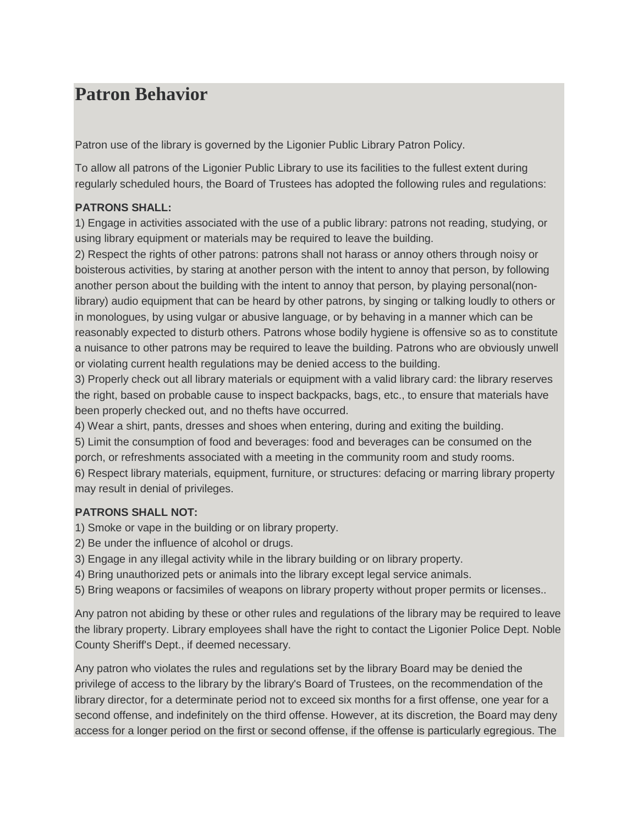# **Patron Behavior**

Patron use of the library is governed by the Ligonier Public Library Patron Policy.

To allow all patrons of the Ligonier Public Library to use its facilities to the fullest extent during regularly scheduled hours, the Board of Trustees has adopted the following rules and regulations:

## **PATRONS SHALL:**

1) Engage in activities associated with the use of a public library: patrons not reading, studying, or using library equipment or materials may be required to leave the building.

2) Respect the rights of other patrons: patrons shall not harass or annoy others through noisy or boisterous activities, by staring at another person with the intent to annoy that person, by following another person about the building with the intent to annoy that person, by playing personal(nonlibrary) audio equipment that can be heard by other patrons, by singing or talking loudly to others or in monologues, by using vulgar or abusive language, or by behaving in a manner which can be reasonably expected to disturb others. Patrons whose bodily hygiene is offensive so as to constitute a nuisance to other patrons may be required to leave the building. Patrons who are obviously unwell or violating current health regulations may be denied access to the building.

3) Properly check out all library materials or equipment with a valid library card: the library reserves the right, based on probable cause to inspect backpacks, bags, etc., to ensure that materials have been properly checked out, and no thefts have occurred.

4) Wear a shirt, pants, dresses and shoes when entering, during and exiting the building.

5) Limit the consumption of food and beverages: food and beverages can be consumed on the porch, or refreshments associated with a meeting in the community room and study rooms.

6) Respect library materials, equipment, furniture, or structures: defacing or marring library property may result in denial of privileges.

## **PATRONS SHALL NOT:**

1) Smoke or vape in the building or on library property.

- 2) Be under the influence of alcohol or drugs.
- 3) Engage in any illegal activity while in the library building or on library property.
- 4) Bring unauthorized pets or animals into the library except legal service animals.

5) Bring weapons or facsimiles of weapons on library property without proper permits or licenses..

Any patron not abiding by these or other rules and regulations of the library may be required to leave the library property. Library employees shall have the right to contact the Ligonier Police Dept. Noble County Sheriff's Dept., if deemed necessary.

Any patron who violates the rules and regulations set by the library Board may be denied the privilege of access to the library by the library's Board of Trustees, on the recommendation of the library director, for a determinate period not to exceed six months for a first offense, one year for a second offense, and indefinitely on the third offense. However, at its discretion, the Board may deny access for a longer period on the first or second offense, if the offense is particularly egregious. The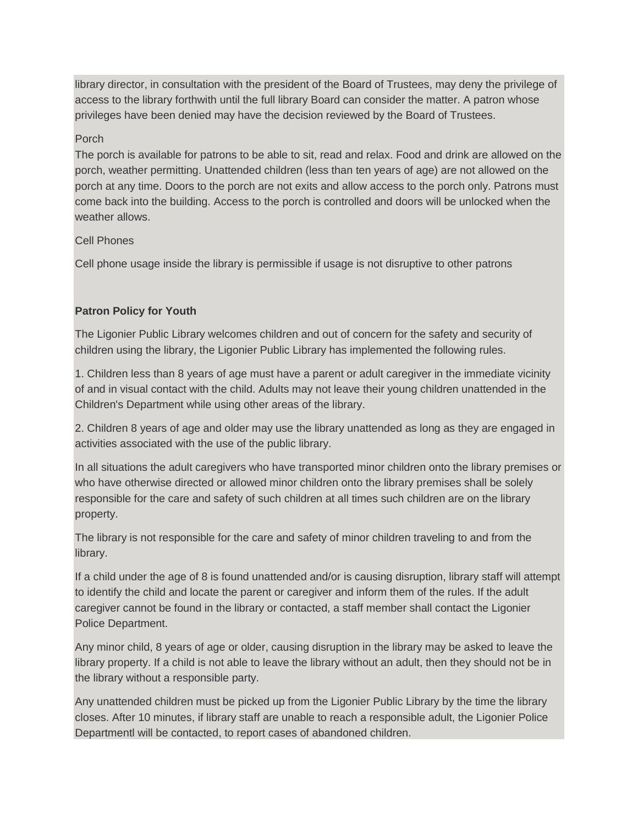library director, in consultation with the president of the Board of Trustees, may deny the privilege of access to the library forthwith until the full library Board can consider the matter. A patron whose privileges have been denied may have the decision reviewed by the Board of Trustees.

#### Porch

The porch is available for patrons to be able to sit, read and relax. Food and drink are allowed on the porch, weather permitting. Unattended children (less than ten years of age) are not allowed on the porch at any time. Doors to the porch are not exits and allow access to the porch only. Patrons must come back into the building. Access to the porch is controlled and doors will be unlocked when the weather allows.

#### Cell Phones

Cell phone usage inside the library is permissible if usage is not disruptive to other patrons

#### **Patron Policy for Youth**

The Ligonier Public Library welcomes children and out of concern for the safety and security of children using the library, the Ligonier Public Library has implemented the following rules.

1. Children less than 8 years of age must have a parent or adult caregiver in the immediate vicinity of and in visual contact with the child. Adults may not leave their young children unattended in the Children's Department while using other areas of the library.

2. Children 8 years of age and older may use the library unattended as long as they are engaged in activities associated with the use of the public library.

In all situations the adult caregivers who have transported minor children onto the library premises or who have otherwise directed or allowed minor children onto the library premises shall be solely responsible for the care and safety of such children at all times such children are on the library property.

The library is not responsible for the care and safety of minor children traveling to and from the library.

If a child under the age of 8 is found unattended and/or is causing disruption, library staff will attempt to identify the child and locate the parent or caregiver and inform them of the rules. If the adult caregiver cannot be found in the library or contacted, a staff member shall contact the Ligonier Police Department.

Any minor child, 8 years of age or older, causing disruption in the library may be asked to leave the library property. If a child is not able to leave the library without an adult, then they should not be in the library without a responsible party.

Any unattended children must be picked up from the Ligonier Public Library by the time the library closes. After 10 minutes, if library staff are unable to reach a responsible adult, the Ligonier Police Departmentl will be contacted, to report cases of abandoned children.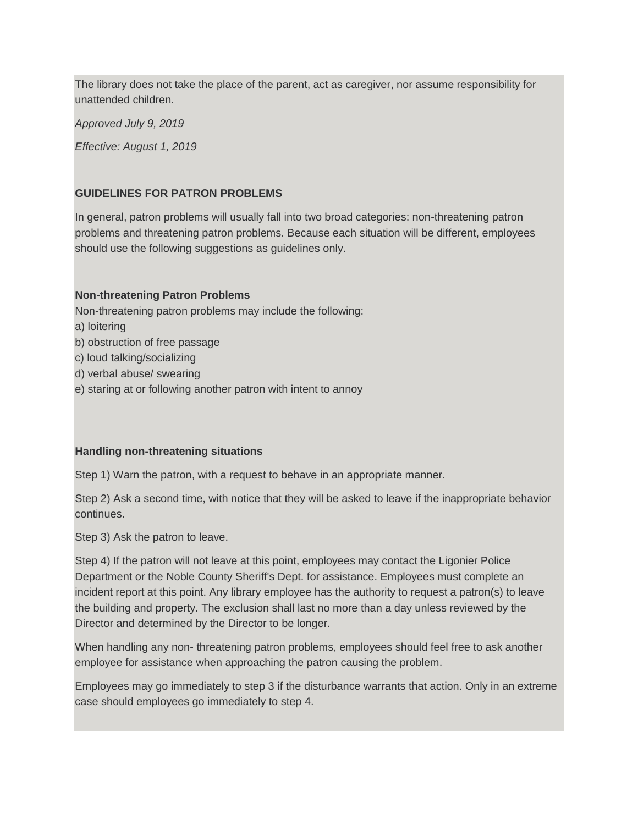The library does not take the place of the parent, act as caregiver, nor assume responsibility for unattended children.

*Approved July 9, 2019 Effective: August 1, 2019*

#### **GUIDELINES FOR PATRON PROBLEMS**

In general, patron problems will usually fall into two broad categories: non-threatening patron problems and threatening patron problems. Because each situation will be different, employees should use the following suggestions as guidelines only.

#### **Non-threatening Patron Problems**

Non-threatening patron problems may include the following:

- a) loitering
- b) obstruction of free passage
- c) loud talking/socializing
- d) verbal abuse/ swearing
- e) staring at or following another patron with intent to annoy

#### **Handling non-threatening situations**

Step 1) Warn the patron, with a request to behave in an appropriate manner.

Step 2) Ask a second time, with notice that they will be asked to leave if the inappropriate behavior continues.

Step 3) Ask the patron to leave.

Step 4) If the patron will not leave at this point, employees may contact the Ligonier Police Department or the Noble County Sheriff's Dept. for assistance. Employees must complete an incident report at this point. Any library employee has the authority to request a patron(s) to leave the building and property. The exclusion shall last no more than a day unless reviewed by the Director and determined by the Director to be longer.

When handling any non- threatening patron problems, employees should feel free to ask another employee for assistance when approaching the patron causing the problem.

Employees may go immediately to step 3 if the disturbance warrants that action. Only in an extreme case should employees go immediately to step 4.